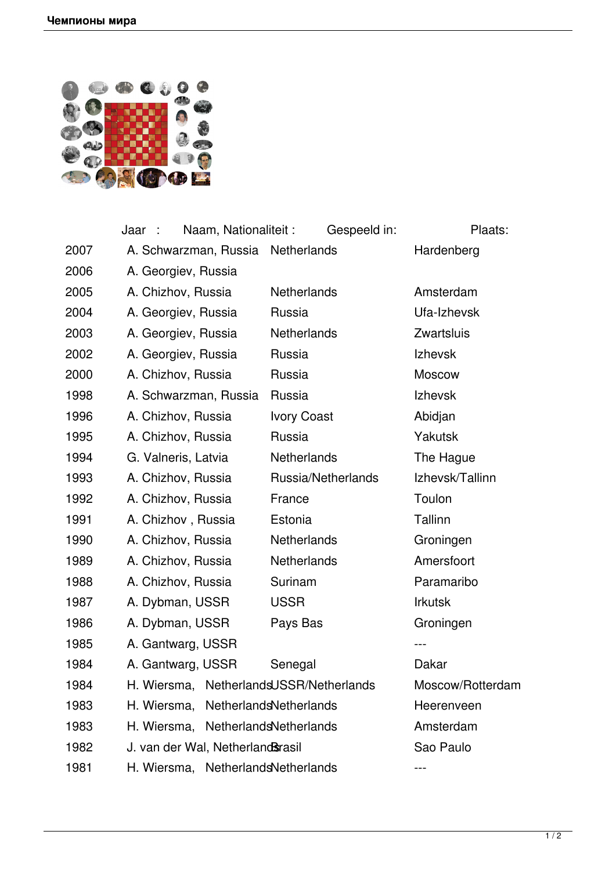

|      | Naam, Nationaliteit:<br>Jaar :          | Gespeeld in:       | Plaats:          |
|------|-----------------------------------------|--------------------|------------------|
| 2007 | A. Schwarzman, Russia Netherlands       |                    | Hardenberg       |
| 2006 | A. Georgiev, Russia                     |                    |                  |
| 2005 | A. Chizhov, Russia                      | <b>Netherlands</b> | Amsterdam        |
| 2004 | A. Georgiev, Russia                     | Russia             | Ufa-Izhevsk      |
| 2003 | A. Georgiev, Russia                     | <b>Netherlands</b> | Zwartsluis       |
| 2002 | A. Georgiev, Russia                     | Russia             | <b>Izhevsk</b>   |
| 2000 | A. Chizhov, Russia                      | Russia             | <b>Moscow</b>    |
| 1998 | A. Schwarzman, Russia                   | Russia             | <b>Izhevsk</b>   |
| 1996 | A. Chizhov, Russia                      | <b>Ivory Coast</b> | Abidjan          |
| 1995 | A. Chizhov, Russia                      | Russia             | <b>Yakutsk</b>   |
| 1994 | G. Valneris, Latvia                     | <b>Netherlands</b> | The Hague        |
| 1993 | A. Chizhov, Russia                      | Russia/Netherlands | Izhevsk/Tallinn  |
| 1992 | A. Chizhov, Russia                      | France             | Toulon           |
| 1991 | A. Chizhov, Russia                      | Estonia            | Tallinn          |
| 1990 | A. Chizhov, Russia                      | <b>Netherlands</b> | Groningen        |
| 1989 | A. Chizhov, Russia                      | Netherlands        | Amersfoort       |
| 1988 | A. Chizhov, Russia                      | Surinam            | Paramaribo       |
| 1987 | A. Dybman, USSR                         | <b>USSR</b>        | <b>Irkutsk</b>   |
| 1986 | A. Dybman, USSR                         | Pays Bas           | Groningen        |
| 1985 | A. Gantwarg, USSR                       |                    |                  |
| 1984 | A. Gantwarg, USSR                       | Senegal            | Dakar            |
| 1984 | H. Wiersma, NetherlandsUSSR/Netherlands |                    | Moscow/Rotterdam |
| 1983 | NetherlandsNetherlands<br>H. Wiersma,   |                    | Heerenveen       |
| 1983 | NetherlandsNetherlands<br>H. Wiersma,   |                    | Amsterdam        |
| 1982 | J. van der Wal, Netherland Strasil      |                    | Sao Paulo        |
| 1981 | NetherlandsNetherlands<br>H. Wiersma,   |                    |                  |